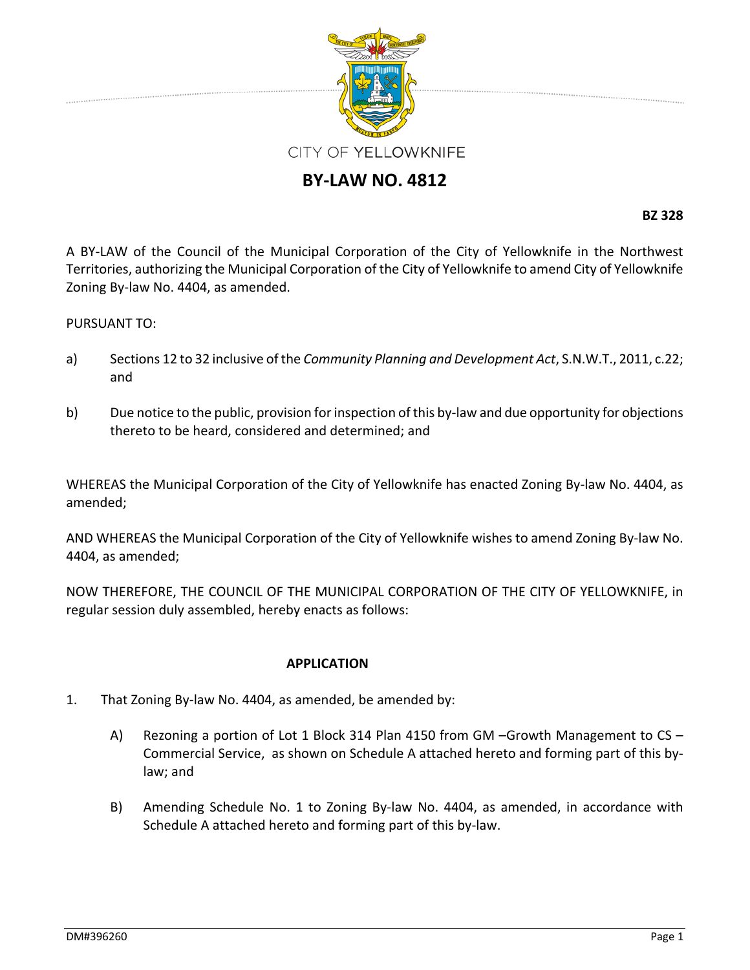

## **BY‐LAW NO. 4812**

**BZ 328**

A BY‐LAW of the Council of the Municipal Corporation of the City of Yellowknife in the Northwest Territories, authorizing the Municipal Corporation of the City of Yellowknife to amend City of Yellowknife Zoning By‐law No. 4404, as amended.

## PURSUANT TO:

- a) Sections 12 to 32 inclusive of the *Community Planning and Development Act*, S.N.W.T., 2011, c.22; and
- b) Due notice to the public, provision for inspection of this by-law and due opportunity for objections thereto to be heard, considered and determined; and

WHEREAS the Municipal Corporation of the City of Yellowknife has enacted Zoning By‐law No. 4404, as amended;

AND WHEREAS the Municipal Corporation of the City of Yellowknife wishes to amend Zoning By‐law No. 4404, as amended;

NOW THEREFORE, THE COUNCIL OF THE MUNICIPAL CORPORATION OF THE CITY OF YELLOWKNIFE, in regular session duly assembled, hereby enacts as follows:

## **APPLICATION**

- 1. That Zoning By‐law No. 4404, as amended, be amended by:
	- A) Rezoning a portion of Lot 1 Block 314 Plan 4150 from GM –Growth Management to CS Commercial Service, as shown on Schedule A attached hereto and forming part of this by‐ law; and
	- B) Amending Schedule No. 1 to Zoning By-law No. 4404, as amended, in accordance with Schedule A attached hereto and forming part of this by‐law.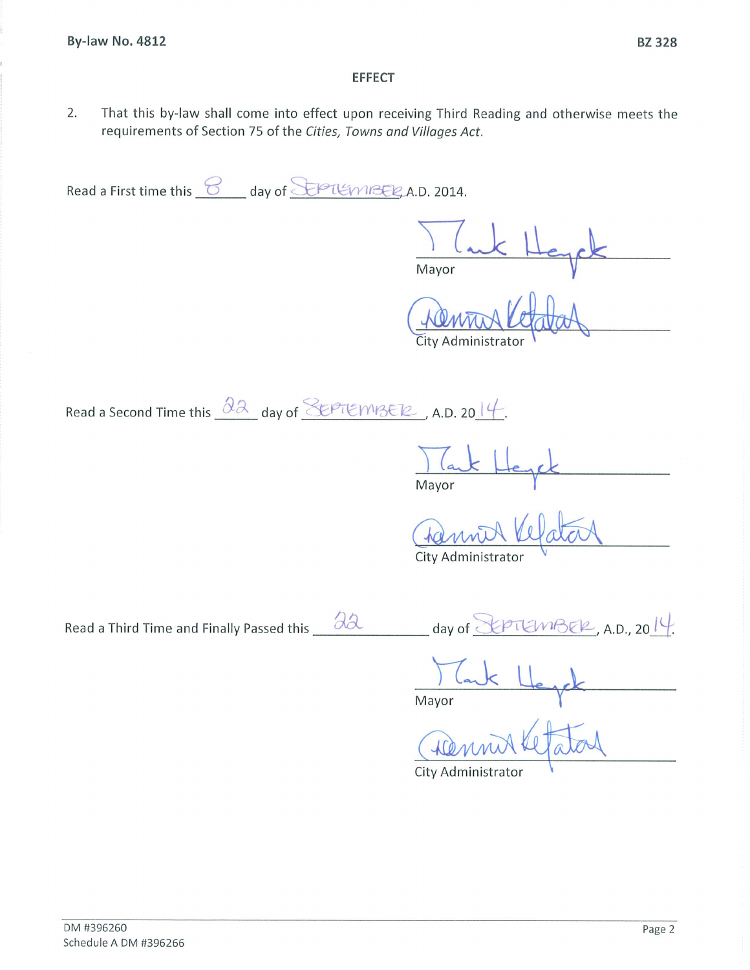## **EFFECT**

 $2.$ That this by-law shall come into effect upon receiving Third Reading and otherwise meets the requirements of Section 75 of the Cities, Towns and Villages Act.

Read a First time this <u>8</u> day of SEPTEMBER A.D. 2014.

Mayor

City Administrator

Read a Second Time this  $\frac{\partial \lambda}{\partial x}$  day of SEPTEMIZER, A.D. 2014.

da

Mayor

City Administrator

Read a Third Time and Finally Passed this

 $k$ premBER, A.D., 2014. day of  $\leq$ 

Mayor

City Administrator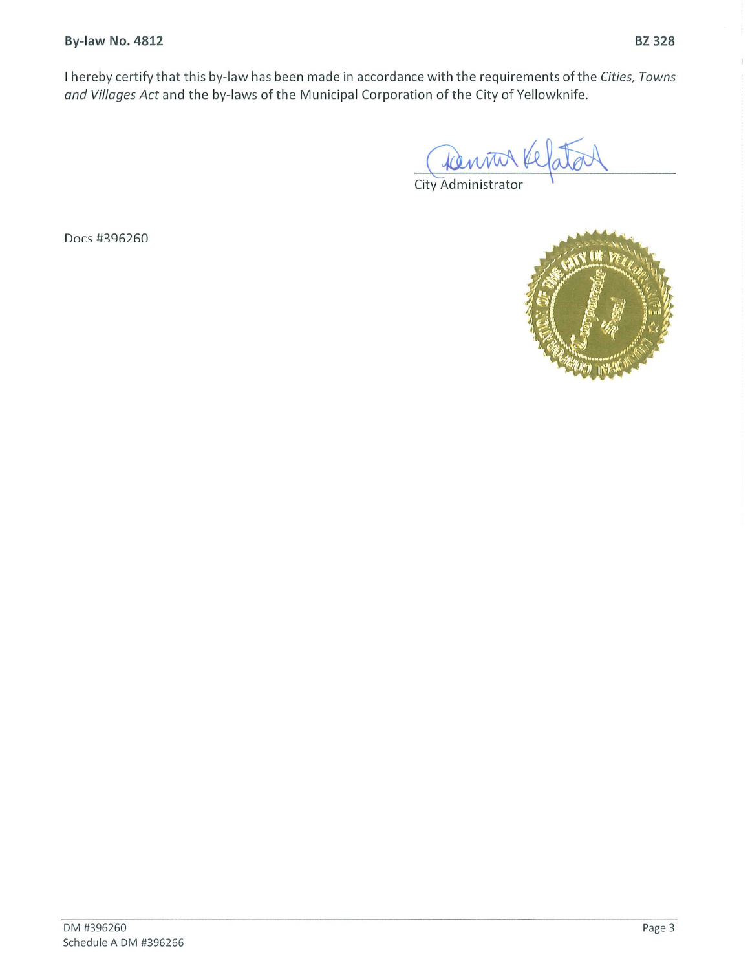Docs #396260

I hereby certify that this by-law has been made in accordance with the requirements of the Cities, Towns and Villages Act and the by-laws of the Municipal Corporation of the City of Yellowknife.

City Administrator